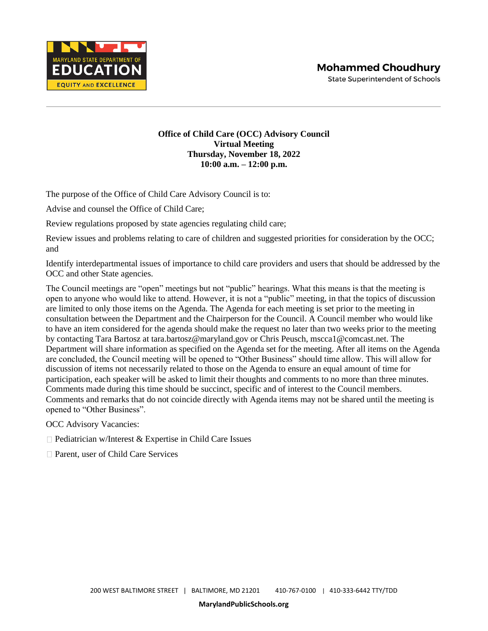

**MARYLAND STATE DEF** EDUCA **EQUITY AND EXCELLENCE** 

**State Superintendent of Schools** 

## **Office of Child Care (OCC) Advisory Council Virtual Meeting Thursday, November 18, 2022 10:00 a.m. – 12:00 p.m.**

The purpose of the Office of Child Care Advisory Council is to:

Advise and counsel the Office of Child Care;

Review regulations proposed by state agencies regulating child care;

Review issues and problems relating to care of children and suggested priorities for consideration by the OCC; and

Identify interdepartmental issues of importance to child care providers and users that should be addressed by the OCC and other State agencies.

The Council meetings are "open" meetings but not "public" hearings. What this means is that the meeting is open to anyone who would like to attend. However, it is not a "public" meeting, in that the topics of discussion are limited to only those items on the Agenda. The Agenda for each meeting is set prior to the meeting in consultation between the Department and the Chairperson for the Council. A Council member who would like to have an item considered for the agenda should make the request no later than two weeks prior to the meeting by contacting Tara Bartosz at tara.bartosz@maryland.gov or Chris Peusch, mscca1@comcast.net. The Department will share information as specified on the Agenda set for the meeting. After all items on the Agenda are concluded, the Council meeting will be opened to "Other Business" should time allow. This will allow for discussion of items not necessarily related to those on the Agenda to ensure an equal amount of time for participation, each speaker will be asked to limit their thoughts and comments to no more than three minutes. Comments made during this time should be succinct, specific and of interest to the Council members. Comments and remarks that do not coincide directly with Agenda items may not be shared until the meeting is opened to "Other Business".

OCC Advisory Vacancies:

 $\Box$  Pediatrician w/Interest & Expertise in Child Care Issues

□ Parent, user of Child Care Services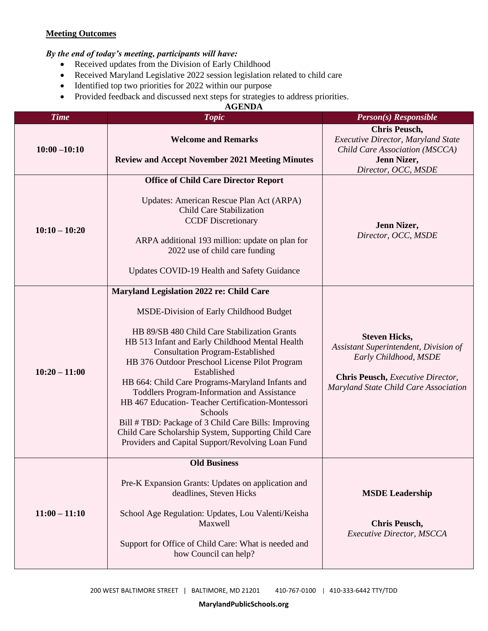## **Meeting Outcomes**

## *By the end of today's meeting, participants will have:*

- Received updates from the Division of Early Childhood
- Received Maryland Legislative 2022 session legislation related to child care
- Identified top two priorities for 2022 within our purpose
- Provided feedback and discussed next steps for strategies to address priorities.

## **AGENDA**

| <b>Time</b>     | <b>Topic</b>                                                                                                                                                                                                                                                                                                                                                                                                                                                                                                                                                                                                                               | <b>Person(s)</b> Responsible                                                                                                                                         |
|-----------------|--------------------------------------------------------------------------------------------------------------------------------------------------------------------------------------------------------------------------------------------------------------------------------------------------------------------------------------------------------------------------------------------------------------------------------------------------------------------------------------------------------------------------------------------------------------------------------------------------------------------------------------------|----------------------------------------------------------------------------------------------------------------------------------------------------------------------|
| $10:00 - 10:10$ | <b>Welcome and Remarks</b><br><b>Review and Accept November 2021 Meeting Minutes</b>                                                                                                                                                                                                                                                                                                                                                                                                                                                                                                                                                       | <b>Chris Peusch,</b><br>Executive Director, Maryland State<br>Child Care Association (MSCCA)<br>Jenn Nizer,<br>Director, OCC, MSDE                                   |
| $10:10 - 10:20$ | <b>Office of Child Care Director Report</b><br>Updates: American Rescue Plan Act (ARPA)<br>Child Care Stabilization<br><b>CCDF</b> Discretionary<br>ARPA additional 193 million: update on plan for<br>2022 use of child care funding<br>Updates COVID-19 Health and Safety Guidance                                                                                                                                                                                                                                                                                                                                                       | Jenn Nizer,<br>Director, OCC, MSDE                                                                                                                                   |
| $10:20 - 11:00$ | Maryland Legislation 2022 re: Child Care<br>MSDE-Division of Early Childhood Budget<br>HB 89/SB 480 Child Care Stabilization Grants<br>HB 513 Infant and Early Childhood Mental Health<br><b>Consultation Program-Established</b><br>HB 376 Outdoor Preschool License Pilot Program<br>Established<br>HB 664: Child Care Programs-Maryland Infants and<br>Toddlers Program-Information and Assistance<br>HB 467 Education-Teacher Certification-Montessori<br>Schools<br>Bill # TBD: Package of 3 Child Care Bills: Improving<br>Child Care Scholarship System, Supporting Child Care<br>Providers and Capital Support/Revolving Loan Fund | <b>Steven Hicks,</b><br>Assistant Superintendent, Division of<br>Early Childhood, MSDE<br>Chris Peusch, Executive Director,<br>Maryland State Child Care Association |
| $11:00 - 11:10$ | <b>Old Business</b><br>Pre-K Expansion Grants: Updates on application and<br>deadlines, Steven Hicks<br>School Age Regulation: Updates, Lou Valenti/Keisha<br>Maxwell<br>Support for Office of Child Care: What is needed and<br>how Council can help?                                                                                                                                                                                                                                                                                                                                                                                     | <b>MSDE Leadership</b><br><b>Chris Peusch,</b><br><b>Executive Director, MSCCA</b>                                                                                   |